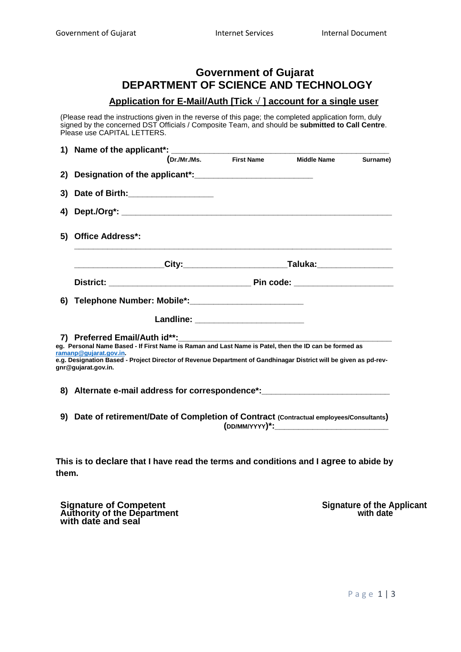## **Government of Gujarat DEPARTMENT OF SCIENCE AND TECHNOLOGY**

## **Application for E-Mail/Auth [Tick ] account for a single user**

(Please read the instructions given in the reverse of this page; the completed application form, duly signed by the concerned DST Officials / Composite Team, and should be **submitted to Call Centre**. Please use CAPITAL LETTERS.

|    | 1) Name of the applicant*:                                                                                                                                                                                                                                                                                 |  |                                      |                    |          |  |
|----|------------------------------------------------------------------------------------------------------------------------------------------------------------------------------------------------------------------------------------------------------------------------------------------------------------|--|--------------------------------------|--------------------|----------|--|
|    |                                                                                                                                                                                                                                                                                                            |  | (Dr./Mr./Ms. First Name              | <b>Middle Name</b> | Surname) |  |
| 2) |                                                                                                                                                                                                                                                                                                            |  |                                      |                    |          |  |
| 3) | Date of Birth:______________________                                                                                                                                                                                                                                                                       |  |                                      |                    |          |  |
| 4) |                                                                                                                                                                                                                                                                                                            |  |                                      |                    |          |  |
| 5) | <b>Office Address*:</b>                                                                                                                                                                                                                                                                                    |  |                                      |                    |          |  |
|    |                                                                                                                                                                                                                                                                                                            |  |                                      |                    |          |  |
|    |                                                                                                                                                                                                                                                                                                            |  |                                      |                    |          |  |
|    |                                                                                                                                                                                                                                                                                                            |  |                                      |                    |          |  |
|    |                                                                                                                                                                                                                                                                                                            |  | Landline: __________________________ |                    |          |  |
|    | 7) Preferred Email/Auth id**:<br>eg. Personal Name Based - If First Name is Raman and Last Name is Patel, then the ID can be formed as<br>ramanp@gujarat.gov.in<br>e.g. Designation Based - Project Director of Revenue Department of Gandhinagar District will be given as pd-rev-<br>gnr@qujarat.gov.in. |  |                                      |                    |          |  |
|    | 8) Alternate e-mail address for correspondence*: _______________________________                                                                                                                                                                                                                           |  |                                      |                    |          |  |
|    | 9) Date of retirement/Date of Completion of Contract (Contractual employees/Consultants)                                                                                                                                                                                                                   |  |                                      |                    |          |  |
|    |                                                                                                                                                                                                                                                                                                            |  |                                      |                    |          |  |

**This is to declare that I have read the terms and conditions and I agree to abide by them.**

**Signature of Competent Signature of the Applicant Authority of the Department with date with date and seal**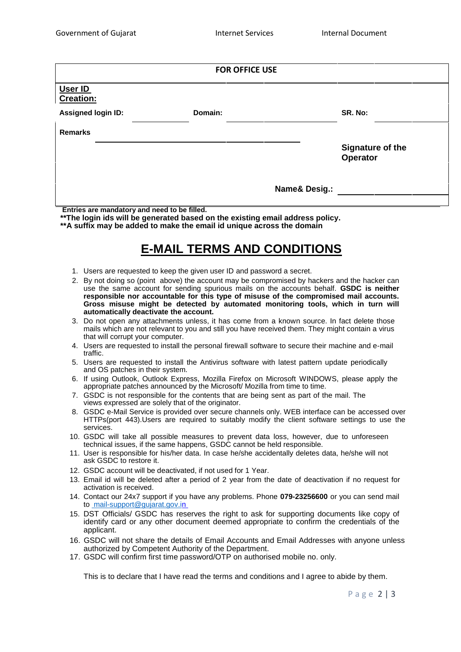| <b>FOR OFFICE USE</b>                        |                                                                                                                                                                                              |                                                                                                                                                                                                                                                                                                                                                                       |  |  |  |  |
|----------------------------------------------|----------------------------------------------------------------------------------------------------------------------------------------------------------------------------------------------|-----------------------------------------------------------------------------------------------------------------------------------------------------------------------------------------------------------------------------------------------------------------------------------------------------------------------------------------------------------------------|--|--|--|--|
| User ID<br><b>Creation:</b>                  |                                                                                                                                                                                              |                                                                                                                                                                                                                                                                                                                                                                       |  |  |  |  |
| <b>Assigned login ID:</b>                    | Domain:                                                                                                                                                                                      | SR. No:                                                                                                                                                                                                                                                                                                                                                               |  |  |  |  |
| <b>Remarks</b>                               |                                                                                                                                                                                              |                                                                                                                                                                                                                                                                                                                                                                       |  |  |  |  |
|                                              |                                                                                                                                                                                              | Signature of the<br><b>Operator</b>                                                                                                                                                                                                                                                                                                                                   |  |  |  |  |
|                                              |                                                                                                                                                                                              | <b>Name&amp; Desig.:</b>                                                                                                                                                                                                                                                                                                                                              |  |  |  |  |
| Entries are mandatory and need to be filled. | **The login ids will be generated based on the existing email address policy.<br>**A suffix may be added to make the email id unique across the domain<br><b>E-MAIL TERMS AND CONDITIONS</b> |                                                                                                                                                                                                                                                                                                                                                                       |  |  |  |  |
| automatically deactivate the account.        | 1. Users are requested to keep the given user ID and password a secret.<br>3. Do not open any attachments unless, it has come from a known source. In fact delete those                      | 2. By not doing so (point above) the account may be compromised by hackers and the hacker can<br>use the same account for sending spurious mails on the accounts behalf. GSDC is neither<br>responsible nor accountable for this type of misuse of the compromised mail accounts.<br>Gross misuse might be detected by automated monitoring tools, which in turn will |  |  |  |  |

- 4. Users are requested to install the personal firewall software to secure their machine and e-mail traffic.
- 5. Users are requested to install the Antivirus software with latest pattern update periodically and OS patches in their system.
- 6. If using Outlook, Outlook Express, Mozilla Firefox on Microsoft WINDOWS, please apply the appropriate patches announced by the Microsoft/ Mozilla from time to time.
- 7. GSDC is not responsible for the contents that are being sent as part of the mail. The views expressed are solely that of the originator.
- 8. GSDC e-Mail Service is provided over secure channels only. WEB interface can be accessed over HTTPs(port 443).Users are required to suitably modify the client software settings to use the services.
- 10. GSDC will take all possible measures to prevent data loss, however, due to unforeseen technical issues, if the same happens, GSDC cannot be held responsible.
- 11. User is responsible for his/her data. In case he/she accidentally deletes data, he/she will not ask GSDC to restore it.
- 12. GSDC account will be deactivated, if not used for 1 Year.
- 13. Email id will be deleted after a period of 2 year from the date of deactivation if no request for activation is received.
- 14. Contact our 24x7 support if you have any problems. Phone **079-23256600** or you can send mail to mail-support@gujarat.gov.in
- 15. DST Officials/ GSDC has reserves the right to ask for supporting documents like copy of identify card or any other document deemed appropriate to confirm the credentials of the applicant.
- h anyone unless<br>de by them.<br>P a g e 2 | 3 16. GSDC will not share the details of Email Accounts and Email Addresses with anyone unless authorized by Competent Authority of the Department.
- 17. GSDC will confirm first time password/OTP on authorised mobile no. only.

This is to declare that I have read the terms and conditions and I agree to abide by them.